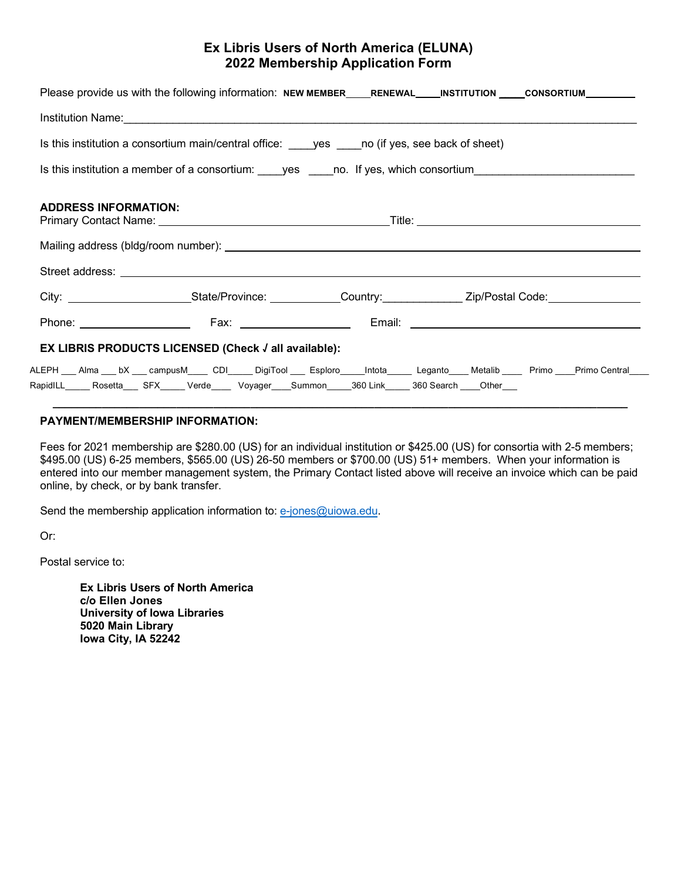## **Ex Libris Users of North America (ELUNA) 2022 Membership Application Form**

| Please provide us with the following information: NEW MEMBER____RENEWAL____INSTITUTION ____CONSORTIUM________                                                                                                                                           |  |  |  |  |
|---------------------------------------------------------------------------------------------------------------------------------------------------------------------------------------------------------------------------------------------------------|--|--|--|--|
|                                                                                                                                                                                                                                                         |  |  |  |  |
| Is this institution a consortium main/central office: yes no (if yes, see back of sheet)                                                                                                                                                                |  |  |  |  |
| Is this institution a member of a consortium: ____yes ____no. If yes, which consortium________________________                                                                                                                                          |  |  |  |  |
| <b>ADDRESS INFORMATION:</b>                                                                                                                                                                                                                             |  |  |  |  |
|                                                                                                                                                                                                                                                         |  |  |  |  |
| Street address: <u>The Community of the Community of the Community of the Community of the Community of the Community of the Community of the Community of the Community of the Community of the Community of the Community of t</u>                    |  |  |  |  |
| City: __________________________State/Province: ____________Country: _____________ Zip/Postal Code: _____________                                                                                                                                       |  |  |  |  |
| Phone: Fax: Fax: Email: Email: Email: Email: Email: Email: Email: Email: Email: Email: Email: Email: Email: Email: Email: Email: Email: Email: Email: Email: Email: Email: Email: Email: Email: Email: Email: Email: Email: Em                          |  |  |  |  |
| EX LIBRIS PRODUCTS LICENSED (Check √ all available):                                                                                                                                                                                                    |  |  |  |  |
| ALEPH ___ Alma ___ bX ___ campusM_____ CDI_____ DigiTool ____ Esploro_____Intota______ Leganto____ Metalib ____ Primo ___Primo Central____<br>RapidILL_____ Rosetta____ SFX_____ Verde_____ Voyager____Summon_____360 Link_____ 360 Search ____Other___ |  |  |  |  |

## **PAYMENT/MEMBERSHIP INFORMATION:**

Fees for 2021 membership are \$280.00 (US) for an individual institution or \$425.00 (US) for consortia with 2-5 members; \$495.00 (US) 6-25 members, \$565.00 (US) 26-50 members or \$700.00 (US) 51+ members. When your information is entered into our member management system, the Primary Contact listed above will receive an invoice which can be paid online, by check, or by bank transfer.

Send the membership application information to: e-jones@uiowa.edu.

Or:

Postal service to:

**Ex Libris Users of North America c/o Ellen Jones University of Iowa Libraries 5020 Main Library Iowa City, IA 52242**